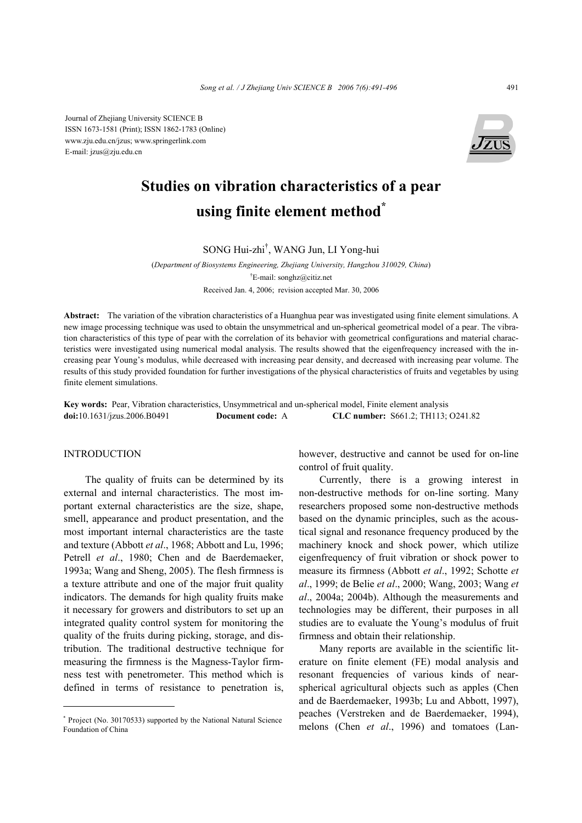Journal of Zhejiang University SCIENCE B ISSN 1673-1581 (Print); ISSN 1862-1783 (Online) www.zju.edu.cn/jzus; www.springerlink.com E-mail: jzus@zju.edu.cn



# **Studies on vibration characteristics of a pear using finite element method\***

SONG Hui-zhi† , WANG Jun, LI Yong-hui

(*Department of Biosystems Engineering, Zhejiang University, Hangzhou 310029, China*) † E-mail: songhz@citiz.net Received Jan. 4, 2006; revision accepted Mar. 30, 2006

**Abstract:** The variation of the vibration characteristics of a Huanghua pear was investigated using finite element simulations. A new image processing technique was used to obtain the unsymmetrical and un-spherical geometrical model of a pear. The vibration characteristics of this type of pear with the correlation of its behavior with geometrical configurations and material characteristics were investigated using numerical modal analysis. The results showed that the eigenfrequency increased with the increasing pear Young's modulus, while decreased with increasing pear density, and decreased with increasing pear volume. The results of this study provided foundation for further investigations of the physical characteristics of fruits and vegetables by using finite element simulations.

**Key words:** Pear, Vibration characteristics, Unsymmetrical and un-spherical model, Finite element analysis **doi:**10.1631/jzus.2006.B0491 **Document code:** A **CLC number:** S661.2; TH113; O241.82

## INTRODUCTION

The quality of fruits can be determined by its external and internal characteristics. The most important external characteristics are the size, shape, smell, appearance and product presentation, and the most important internal characteristics are the taste and texture (Abbott *et al*., 1968; Abbott and Lu, 1996; Petrell *et al*., 1980; Chen and de Baerdemaeker, 1993a; Wang and Sheng, 2005). The flesh firmness is a texture attribute and one of the major fruit quality indicators. The demands for high quality fruits make it necessary for growers and distributors to set up an integrated quality control system for monitoring the quality of the fruits during picking, storage, and distribution. The traditional destructive technique for measuring the firmness is the Magness-Taylor firmness test with penetrometer. This method which is defined in terms of resistance to penetration is, however, destructive and cannot be used for on-line control of fruit quality.

Currently, there is a growing interest in non-destructive methods for on-line sorting. Many researchers proposed some non-destructive methods based on the dynamic principles, such as the acoustical signal and resonance frequency produced by the machinery knock and shock power, which utilize eigenfrequency of fruit vibration or shock power to measure its firmness (Abbott *et al*., 1992; Schotte *et al*., 1999; de Belie *et al*., 2000; Wang, 2003; Wang *et al*., 2004a; 2004b). Although the measurements and technologies may be different, their purposes in all studies are to evaluate the Young's modulus of fruit firmness and obtain their relationship.

Many reports are available in the scientific literature on finite element (FE) modal analysis and resonant frequencies of various kinds of nearspherical agricultural objects such as apples (Chen and de Baerdemaeker, 1993b; Lu and Abbott, 1997), peaches (Verstreken and de Baerdemaeker, 1994), melons (Chen *et al*., 1996) and tomatoes (Lan-

<sup>\*</sup> Project (No. 30170533) supported by the National Natural Science Foundation of China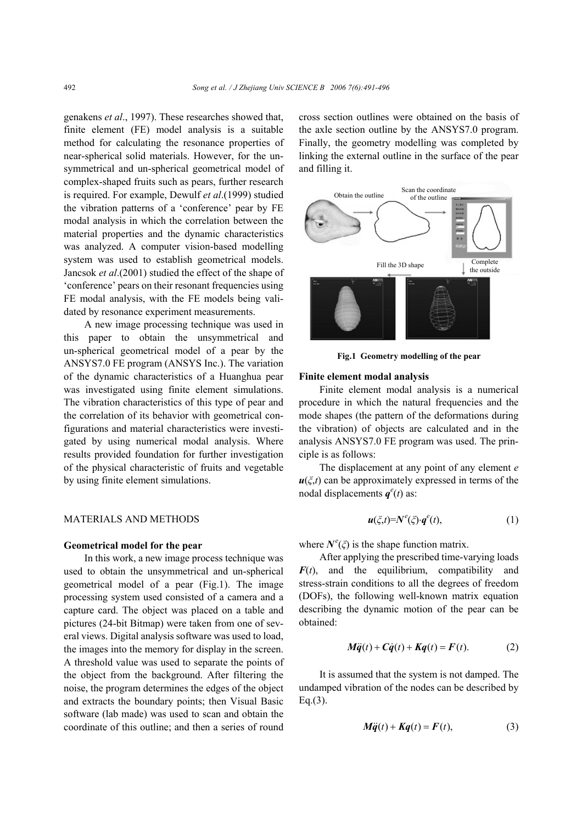genakens *et al*., 1997). These researches showed that, finite element (FE) model analysis is a suitable method for calculating the resonance properties of near-spherical solid materials. However, for the unsymmetrical and un-spherical geometrical model of complex-shaped fruits such as pears, further research is required. For example, Dewulf *et al*.(1999) studied the vibration patterns of a 'conference' pear by FE modal analysis in which the correlation between the material properties and the dynamic characteristics was analyzed. A computer vision-based modelling system was used to establish geometrical models. Jancsok *et al*.(2001) studied the effect of the shape of 'conference' pears on their resonant frequencies using FE modal analysis, with the FE models being validated by resonance experiment measurements.

A new image processing technique was used in this paper to obtain the unsymmetrical and un-spherical geometrical model of a pear by the ANSYS7.0 FE program (ANSYS Inc.). The variation of the dynamic characteristics of a Huanghua pear was investigated using finite element simulations. The vibration characteristics of this type of pear and the correlation of its behavior with geometrical configurations and material characteristics were investigated by using numerical modal analysis. Where results provided foundation for further investigation of the physical characteristic of fruits and vegetable by using finite element simulations.

# MATERIALS AND METHODS

#### **Geometrical model for the pear**

In this work, a new image process technique was used to obtain the unsymmetrical and un-spherical geometrical model of a pear (Fig.1). The image processing system used consisted of a camera and a capture card. The object was placed on a table and pictures (24-bit Bitmap) were taken from one of several views. Digital analysis software was used to load, the images into the memory for display in the screen. A threshold value was used to separate the points of the object from the background. After filtering the noise, the program determines the edges of the object and extracts the boundary points; then Visual Basic software (lab made) was used to scan and obtain the coordinate of this outline; and then a series of round cross section outlines were obtained on the basis of the axle section outline by the ANSYS7.0 program. Finally, the geometry modelling was completed by linking the external outline in the surface of the pear and filling it.



**Fig.1 Geometry modelling of the pear**

#### **Finite element modal analysis**

Finite element modal analysis is a numerical procedure in which the natural frequencies and the mode shapes (the pattern of the deformations during the vibration) of objects are calculated and in the analysis ANSYS7.0 FE program was used. The principle is as follows:

The displacement at any point of any element *e*  $u(\xi,t)$  can be approximately expressed in terms of the nodal displacements  $q^e(t)$  as:

$$
\boldsymbol{u}(\zeta,t)=N^e(\zeta)\cdot \boldsymbol{q}^e(t),\qquad(1)
$$

where  $N^e(\xi)$  is the shape function matrix.

After applying the prescribed time-varying loads  $F(t)$ , and the equilibrium, compatibility and stress-strain conditions to all the degrees of freedom (DOFs), the following well-known matrix equation describing the dynamic motion of the pear can be obtained:

$$
M\ddot{q}(t) + C\dot{q}(t) + Kq(t) = F(t).
$$
 (2)

It is assumed that the system is not damped. The undamped vibration of the nodes can be described by Eq.(3).

$$
M\ddot{q}(t) + Kq(t) = F(t), \qquad (3)
$$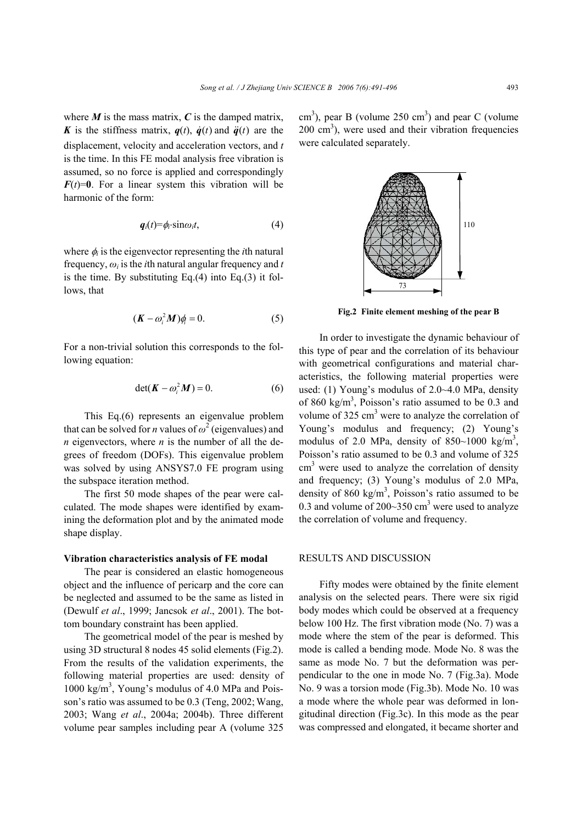where  $M$  is the mass matrix,  $C$  is the damped matrix, *K* is the stiffness matrix,  $q(t)$ ,  $\dot{q}(t)$  and  $\ddot{q}(t)$  are the displacement, velocity and acceleration vectors, and *t*  is the time. In this FE modal analysis free vibration is assumed, so no force is applied and correspondingly  $F(t)=0$ . For a linear system this vibration will be harmonic of the form:

$$
q_i(t) = \phi_i \cdot \sin \omega_i t, \qquad (4)
$$

where  $\phi_i$  is the eigenvector representing the *i*th natural frequency, *ωi* is the *i*th natural angular frequency and *t*  is the time. By substituting Eq. $(4)$  into Eq. $(3)$  it follows, that

$$
(\boldsymbol{K} - \omega_i^2 \boldsymbol{M})\phi_i = 0. \tag{5}
$$

For a non-trivial solution this corresponds to the following equation:

$$
\det(\mathbf{K} - \omega_i^2 \mathbf{M}) = 0. \tag{6}
$$

This Eq.(6) represents an eigenvalue problem that can be solved for *n* values of  $\omega^2$  (eigenvalues) and *n* eigenvectors, where *n* is the number of all the degrees of freedom (DOFs). This eigenvalue problem was solved by using ANSYS7.0 FE program using the subspace iteration method.

The first 50 mode shapes of the pear were calculated. The mode shapes were identified by examining the deformation plot and by the animated mode shape display.

#### **Vibration characteristics analysis of FE modal**

The pear is considered an elastic homogeneous object and the influence of pericarp and the core can be neglected and assumed to be the same as listed in (Dewulf *et al*., 1999; Jancsok *et al*., 2001). The bottom boundary constraint has been applied.

The geometrical model of the pear is meshed by using 3D structural 8 nodes 45 solid elements (Fig.2). From the results of the validation experiments, the following material properties are used: density of 1000 kg/m<sup>3</sup>, Young's modulus of 4.0 MPa and Poisson's ratio was assumed to be 0.3 (Teng, 2002; Wang, 2003; Wang *et al*., 2004a; 2004b). Three different volume pear samples including pear A (volume 325

 $\text{cm}^3$ ), pear B (volume 250 cm<sup>3</sup>) and pear C (volume  $200 \text{ cm}^3$ ), were used and their vibration frequencies were calculated separately.



**Fig.2 Finite element meshing of the pear B** 

In order to investigate the dynamic behaviour of this type of pear and the correlation of its behaviour with geometrical configurations and material characteristics, the following material properties were used: (1) Young's modulus of 2.0~4.0 MPa, density of 860 kg/m<sup>3</sup>, Poisson's ratio assumed to be 0.3 and volume of  $325 \text{ cm}^3$  were to analyze the correlation of Young's modulus and frequency; (2) Young's modulus of 2.0 MPa, density of  $850~1000 \text{ kg/m}^3$ , Poisson's ratio assumed to be 0.3 and volume of 325  $\text{cm}^3$  were used to analyze the correlation of density and frequency; (3) Young's modulus of 2.0 MPa, density of 860 kg/m<sup>3</sup>, Poisson's ratio assumed to be 0.3 and volume of  $200 \sim 350$  cm<sup>3</sup> were used to analyze the correlation of volume and frequency.

## RESULTS AND DISCUSSION

Fifty modes were obtained by the finite element analysis on the selected pears. There were six rigid body modes which could be observed at a frequency below 100 Hz. The first vibration mode (No. 7) was a mode where the stem of the pear is deformed. This mode is called a bending mode. Mode No. 8 was the same as mode No. 7 but the deformation was perpendicular to the one in mode No. 7 (Fig.3a). Mode No. 9 was a torsion mode (Fig.3b). Mode No. 10 was a mode where the whole pear was deformed in longitudinal direction (Fig.3c). In this mode as the pear was compressed and elongated, it became shorter and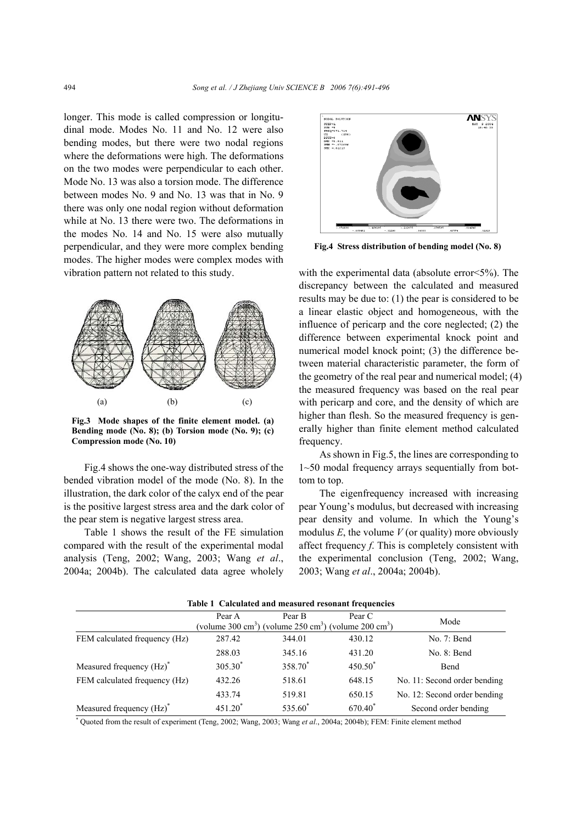longer. This mode is called compression or longitudinal mode. Modes No. 11 and No. 12 were also bending modes, but there were two nodal regions where the deformations were high. The deformations on the two modes were perpendicular to each other. Mode No. 13 was also a torsion mode. The difference between modes No. 9 and No. 13 was that in No. 9 there was only one nodal region without deformation while at No. 13 there were two. The deformations in the modes No. 14 and No. 15 were also mutually perpendicular, and they were more complex bending modes. The higher modes were complex modes with vibration pattern not related to this study.



**Fig.3 Mode shapes of the finite element model. (a) Bending mode (No. 8); (b) Torsion mode (No. 9); (c) Compression mode (No. 10)**

Fig.4 shows the one-way distributed stress of the bended vibration model of the mode (No. 8). In the illustration, the dark color of the calyx end of the pear is the positive largest stress area and the dark color of the pear stem is negative largest stress area.

Table 1 shows the result of the FE simulation compared with the result of the experimental modal analysis (Teng, 2002; Wang, 2003; Wang *et al*., 2004a; 2004b). The calculated data agree wholely



**Fig.4 Stress distribution of bending model (No. 8)**

with the experimental data (absolute error<5%). The discrepancy between the calculated and measured results may be due to: (1) the pear is considered to be a linear elastic object and homogeneous, with the influence of pericarp and the core neglected; (2) the difference between experimental knock point and numerical model knock point; (3) the difference between material characteristic parameter, the form of the geometry of the real pear and numerical model; (4) the measured frequency was based on the real pear with pericarp and core, and the density of which are higher than flesh. So the measured frequency is generally higher than finite element method calculated frequency.

As shown in Fig.5, the lines are corresponding to 1~50 modal frequency arrays sequentially from bottom to top.

The eigenfrequency increased with increasing pear Young's modulus, but decreased with increasing pear density and volume. In which the Young's modulus  $E$ , the volume  $V$  (or quality) more obviously affect frequency *f*. This is completely consistent with the experimental conclusion (Teng, 2002; Wang, 2003; Wang *et al*., 2004a; 2004b).

| Table 1 Calculated and measured resonant frequencies                                      |           |                     |                     |                              |
|-------------------------------------------------------------------------------------------|-----------|---------------------|---------------------|------------------------------|
|                                                                                           | Pear A    | Pear B              | Pear C              | Mode                         |
| (volume 300 cm <sup>3</sup> ) (volume 250 cm <sup>3</sup> ) (volume 200 cm <sup>3</sup> ) |           |                     |                     |                              |
| FEM calculated frequency (Hz)                                                             | 287.42    | 344.01              | 430.12              | No. 7: Bend                  |
|                                                                                           | 288.03    | 345.16              | 431.20              | No. 8: Bend                  |
| Measured frequency (Hz) <sup>*</sup>                                                      | $305.30*$ | 358.70 <sup>*</sup> | $450.50^{*}$        | Bend                         |
| FEM calculated frequency (Hz)                                                             | 432.26    | 518.61              | 648.15              | No. 11: Second order bending |
|                                                                                           | 433.74    | 519.81              | 650.15              | No. 12: Second order bending |
| Measured frequency (Hz) <sup>*</sup>                                                      | $451.20*$ | 535.60*             | 670.40 <sup>*</sup> | Second order bending         |

**Table 1 Calculated and measured resonant frequencies** 

\* Quoted from the result of experiment (Teng, 2002; Wang, 2003; Wang *et al*., 2004a; 2004b); FEM: Finite element method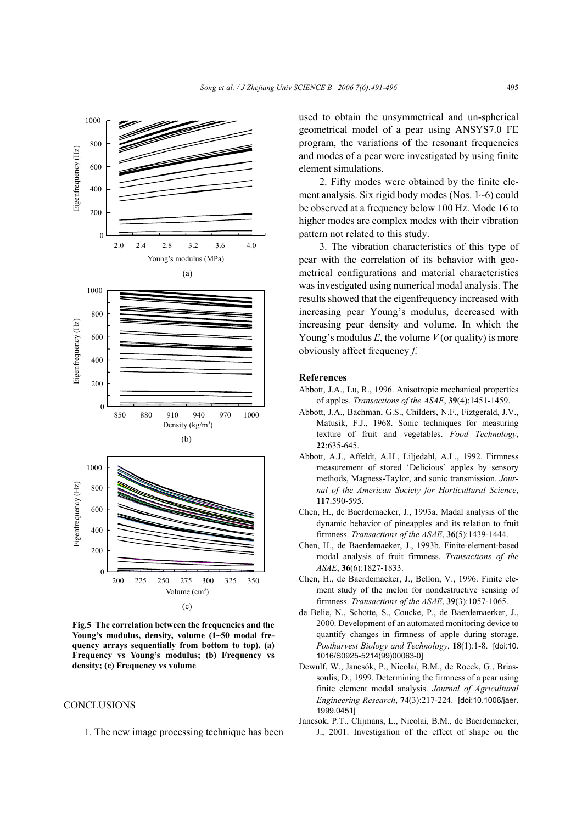

**Fig.5 The correlation between the frequencies and the Young's modulus, density, volume (1~50 modal frequency arrays sequentially from bottom to top). (a) Frequency vs Young's modulus; (b) Frequency vs density; (c) Frequency vs volume** 

#### **CONCLUSIONS**

1. The new image processing technique has been

used to obtain the unsymmetrical and un-spherical geometrical model of a pear using ANSYS7.0 FE program, the variations of the resonant frequencies and modes of a pear were investigated by using finite element simulations.

2. Fifty modes were obtained by the finite element analysis. Six rigid body modes (Nos. 1~6) could be observed at a frequency below 100 Hz. Mode 16 to higher modes are complex modes with their vibration pattern not related to this study.

3. The vibration characteristics of this type of pear with the correlation of its behavior with geometrical configurations and material characteristics was investigated using numerical modal analysis. The results showed that the eigenfrequency increased with increasing pear Young's modulus, decreased with increasing pear density and volume. In which the Young's modulus *E*, the volume *V* (or quality) is more obviously affect frequency *f*.

### **References**

- Abbott, J.A., Lu, R., 1996. Anisotropic mechanical properties of apples. *Transactions of the ASAE*, **39**(4):1451-1459.
- Abbott, J.A., Bachman, G.S., Childers, N.F., Fiztgerald, J.V., Matusik, F.J., 1968. Sonic techniques for measuring texture of fruit and vegetables. *Food Technology*, **22**:635-645.
- Abbott, A.J., Affeldt, A.H., Liljedahl, A.L., 1992. Firmness measurement of stored 'Delicious' apples by sensory methods, Magness-Taylor, and sonic transmission. *Journal of the American Society for Horticultural Science*, **117**:590-595.
- Chen, H., de Baerdemaeker, J., 1993a. Madal analysis of the dynamic behavior of pineapples and its relation to fruit firmness. *Transactions of the ASAE*, **36**(5):1439-1444.
- Chen, H., de Baerdemaeker, J., 1993b. Finite-element-based modal analysis of fruit firmness. *Transactions of the ASAE*, **36**(6):1827-1833.
- Chen, H., de Baerdemaeker, J., Bellon, V., 1996. Finite element study of the melon for nondestructive sensing of firmness. *Transactions of the ASAE*, **39**(3):1057-1065.
- de Belie, N., Schotte, S., Coucke, P., de Baerdemaerker, J., 2000. Development of an automated monitoring device to quantify changes in firmness of apple during storage. *Postharvest Biology and Technology*, **18**(1):1-8. [doi:10. 1016/S0925-5214(99)00063-0]
- Dewulf, W., Jancsók, P., Nicolaï, B.M., de Roeck, G., Briassoulis, D., 1999. Determining the firmness of a pear using finite element modal analysis. *Journal of Agricultural Engineering Research*, **74**(3):217-224. [doi:10.1006/jaer. 1999.0451]
- Jancsok, P.T., Clijmans, L., Nicolai, B.M., de Baerdemaeker, J., 2001. Investigation of the effect of shape on the